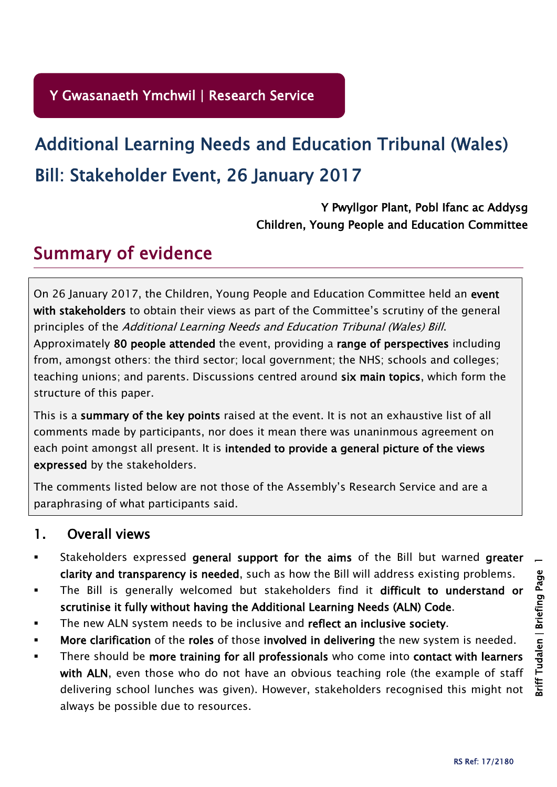# Bill: Stakeholder Event, 26 January 2017 Additional Learning Needs and Education Tribunal (Wales)

Y Pwyllgor Plant, Pobl Ifanc ac Addysg Children, Young People and Education Committee

## Summary of evidence

On 26 January 2017, the Children, Young People and Education Committee held an event with stakeholders to obtain their views as part of the Committee's scrutiny of the general principles of the Additional Learning Needs and Education Tribunal (Wales) Bill.

Approximately 80 people attended the event, providing a range of perspectives including from, amongst others: the third sector; local government; the NHS; schools and colleges; teaching unions; and parents. Discussions centred around six main topics, which form the structure of this paper.

This is a summary of the key points raised at the event. It is not an exhaustive list of all comments made by participants, nor does it mean there was unaninmous agreement on each point amongst all present. It is intended to provide a general picture of the views expressed by the stakeholders.

The comments listed below are not those of the Assembly's Research Service and are a paraphrasing of what participants said.

## 1. Overall views

- Stakeholders expressed general support for the aims of the Bill but warned greater clarity and transparency is needed, such as how the Bill will address existing problems.
- The Bill is generally welcomed but stakeholders find it difficult to understand or scrutinise it fully without having the Additional Learning Needs (ALN) Code.
- The new ALN system needs to be inclusive and reflect an inclusive society.
- More clarification of the roles of those involved in delivering the new system is needed.
- There should be more training for all professionals who come into contact with learners with ALN, even those who do not have an obvious teaching role (the example of staff delivering school lunches was given). However, stakeholders recognised this might not always be possible due to resources.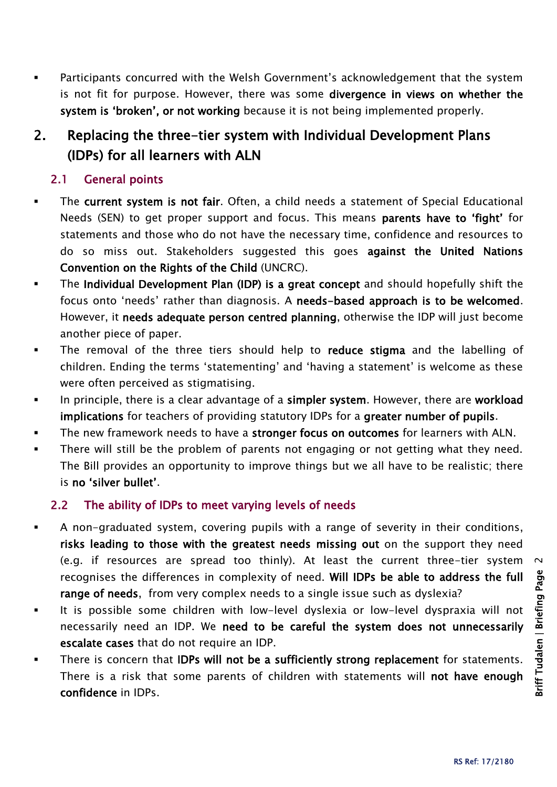Participants concurred with the Welsh Government's acknowledgement that the system is not fit for purpose. However, there was some divergence in views on whether the system is 'broken', or not working because it is not being implemented properly.

## 2. Replacing the three-tier system with Individual Development Plans (IDPs) for all learners with ALN

#### 2.1 General points

- The current system is not fair. Often, a child needs a statement of Special Educational Needs (SEN) to get proper support and focus. This means parents have to 'fight' for statements and those who do not have the necessary time, confidence and resources to do so miss out. Stakeholders suggested this goes against the United Nations Convention on the Rights of the Child (UNCRC).
- The Individual Development Plan (IDP) is a great concept and should hopefully shift the focus onto 'needs' rather than diagnosis. A needs-based approach is to be welcomed. However, it needs adequate person centred planning, otherwise the IDP will just become another piece of paper.
- The removal of the three tiers should help to **reduce stigma** and the labelling of children. Ending the terms 'statementing' and 'having a statement' is welcome as these were often perceived as stigmatising.
- In principle, there is a clear advantage of a simpler system. However, there are workload implications for teachers of providing statutory IDPs for a greater number of pupils.
- The new framework needs to have a stronger focus on outcomes for learners with ALN.
- **There will still be the problem of parents not engaging or not getting what they need.** The Bill provides an opportunity to improve things but we all have to be realistic; there is no 'silver bullet'.

#### 2.2 The ability of IDPs to meet varying levels of needs

- A non-graduated system, covering pupils with a range of severity in their conditions, risks leading to those with the greatest needs missing out on the support they need (e.g. if resources are spread too thinly). At least the current three-tier system recognises the differences in complexity of need. Will IDPs be able to address the full range of needs, from very complex needs to a single issue such as dyslexia?
- It is possible some children with low-level dyslexia or low-level dyspraxia will not necessarily need an IDP. We need to be careful the system does not unnecessarily escalate cases that do not require an IDP.
- There is concern that IDPs will not be a sufficiently strong replacement for statements. There is a risk that some parents of children with statements will not have enough confidence in IDPs.

 $\sim$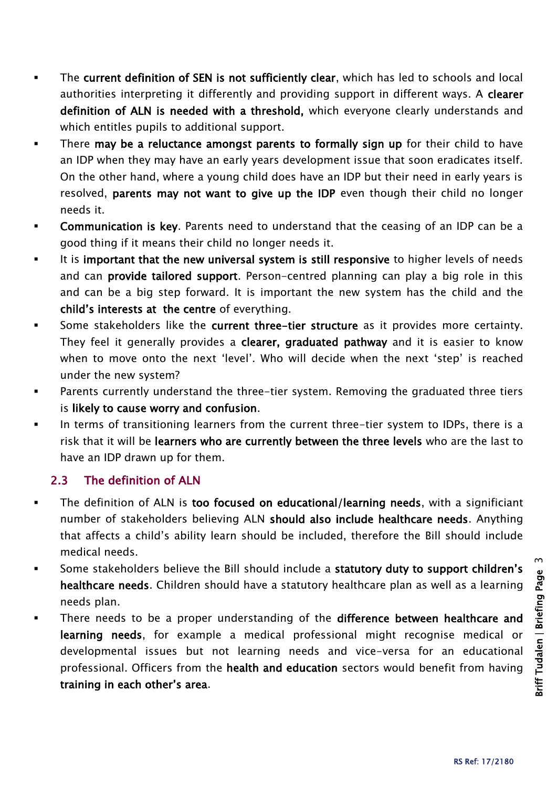- The current definition of SEN is not sufficiently clear, which has led to schools and local authorities interpreting it differently and providing support in different ways. A clearer definition of ALN is needed with a threshold, which everyone clearly understands and which entitles pupils to additional support.
- **There may be a reluctance amongst parents to formally sign up** for their child to have an IDP when they may have an early years development issue that soon eradicates itself. On the other hand, where a young child does have an IDP but their need in early years is resolved, parents may not want to give up the IDP even though their child no longer needs it.
- **Communication is key.** Parents need to understand that the ceasing of an IDP can be a good thing if it means their child no longer needs it.
- It is important that the new universal system is still responsive to higher levels of needs and can provide tailored support. Person-centred planning can play a big role in this and can be a big step forward. It is important the new system has the child and the child's interests at the centre of everything.
- Some stakeholders like the current three-tier structure as it provides more certainty. They feel it generally provides a clearer, graduated pathway and it is easier to know when to move onto the next 'level'. Who will decide when the next 'step' is reached under the new system?
- Parents currently understand the three-tier system. Removing the graduated three tiers is likely to cause worry and confusion.
- In terms of transitioning learners from the current three-tier system to IDPs, there is a risk that it will be learners who are currently between the three levels who are the last to have an IDP drawn up for them.

#### 2.3 The definition of ALN

- The definition of ALN is too focused on educational/learning needs, with a significiant number of stakeholders believing ALN should also include healthcare needs. Anything that affects a child's ability learn should be included, therefore the Bill should include medical needs.
- Some stakeholders believe the Bill should include a statutory duty to support children's healthcare needs. Children should have a statutory healthcare plan as well as a learning needs plan.
- There needs to be a proper understanding of the difference between healthcare and learning needs, for example a medical professional might recognise medical or developmental issues but not learning needs and vice-versa for an educational professional. Officers from the health and education sectors would benefit from having training in each other's area.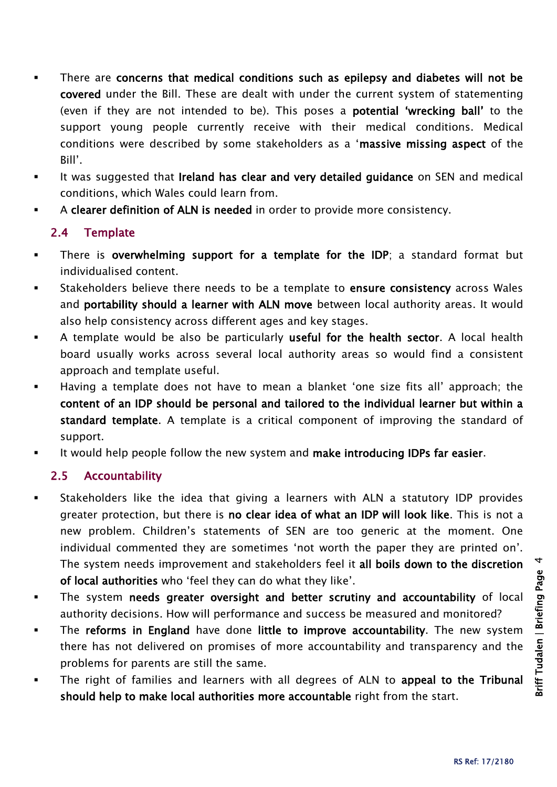- There are concerns that medical conditions such as epilepsy and diabetes will not be covered under the Bill. These are dealt with under the current system of statementing (even if they are not intended to be). This poses a potential 'wrecking ball' to the support young people currently receive with their medical conditions. Medical conditions were described by some stakeholders as a 'massive missing aspect of the Bill'.
- It was suggested that Ireland has clear and very detailed guidance on SEN and medical conditions, which Wales could learn from.
- A clearer definition of ALN is needed in order to provide more consistency.

#### 2.4 Template

- There is overwhelming support for a template for the IDP; a standard format but individualised content.
- Stakeholders believe there needs to be a template to ensure consistency across Wales and portability should a learner with ALN move between local authority areas. It would also help consistency across different ages and key stages.
- A template would be also be particularly useful for the health sector. A local health board usually works across several local authority areas so would find a consistent approach and template useful.
- Having a template does not have to mean a blanket 'one size fits all' approach; the content of an IDP should be personal and tailored to the individual learner but within a standard template. A template is a critical component of improving the standard of support.
- It would help people follow the new system and make introducing IDPs far easier.

#### 2.5 Accountability

- Stakeholders like the idea that giving a learners with ALN a statutory IDP provides greater protection, but there is no clear idea of what an IDP will look like. This is not a new problem. Children's statements of SEN are too generic at the moment. One individual commented they are sometimes 'not worth the paper they are printed on'. The system needs improvement and stakeholders feel it all boils down to the discretion of local authorities who 'feel they can do what they like'.
- The system needs greater oversight and better scrutiny and accountability of local authority decisions. How will performance and success be measured and monitored?
- The reforms in England have done little to improve accountability. The new system there has not delivered on promises of more accountability and transparency and the problems for parents are still the same.
- The right of families and learners with all degrees of ALN to appeal to the Tribunal should help to make local authorities more accountable right from the start.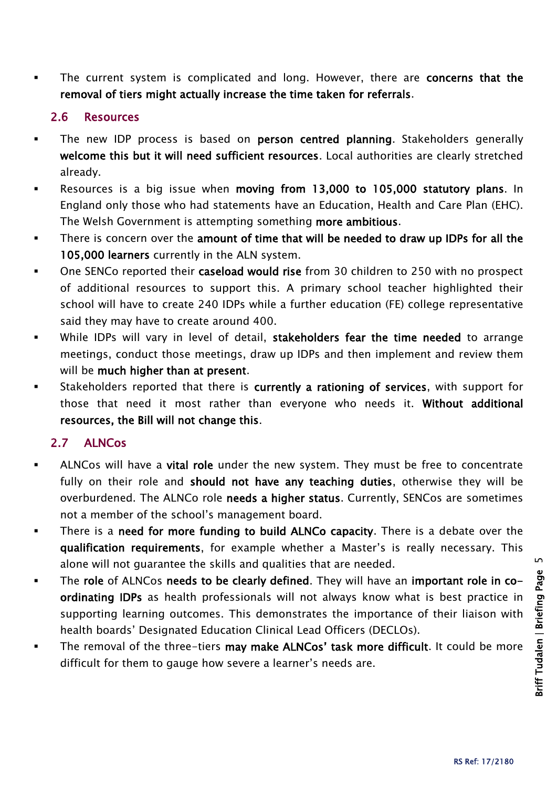The current system is complicated and long. However, there are concerns that the removal of tiers might actually increase the time taken for referrals.

#### 2.6 Resources

- The new IDP process is based on person centred planning. Stakeholders generally welcome this but it will need sufficient resources. Local authorities are clearly stretched already.
- Resources is a big issue when moving from 13,000 to 105,000 statutory plans. In England only those who had statements have an Education, Health and Care Plan (EHC). The Welsh Government is attempting something more ambitious.
- There is concern over the amount of time that will be needed to draw up IDPs for all the 105,000 learners currently in the ALN system.
- One SENCo reported their caseload would rise from 30 children to 250 with no prospect of additional resources to support this. A primary school teacher highlighted their school will have to create 240 IDPs while a further education (FE) college representative said they may have to create around 400.
- While IDPs will vary in level of detail, stakeholders fear the time needed to arrange meetings, conduct those meetings, draw up IDPs and then implement and review them will be much higher than at present.
- Stakeholders reported that there is currently a rationing of services, with support for those that need it most rather than everyone who needs it. Without additional resources, the Bill will not change this.

#### 2.7 ALNCos

- ALNCos will have a vital role under the new system. They must be free to concentrate fully on their role and should not have any teaching duties, otherwise they will be overburdened. The ALNCo role needs a higher status. Currently, SENCos are sometimes not a member of the school's management board.
- There is a need for more funding to build ALNCo capacity. There is a debate over the qualification requirements, for example whether a Master's is really necessary. This alone will not guarantee the skills and qualities that are needed.
- The role of ALNCos needs to be clearly defined. They will have an important role in coordinating IDPs as health professionals will not always know what is best practice in supporting learning outcomes. This demonstrates the importance of their liaison with health boards' Designated Education Clinical Lead Officers (DECLOs).
- The removal of the three-tiers may make ALNCos' task more difficult. It could be more difficult for them to gauge how severe a learner's needs are.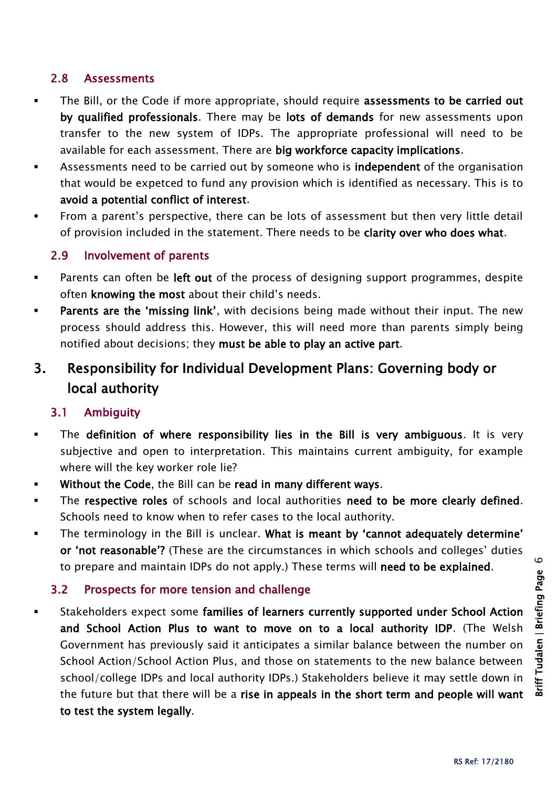#### 2.8 Assessments

- The Bill, or the Code if more appropriate, should require assessments to be carried out by qualified professionals. There may be lots of demands for new assessments upon transfer to the new system of IDPs. The appropriate professional will need to be available for each assessment. There are big workforce capacity implications.
- **EXECT** Assessments need to be carried out by someone who is **independent** of the organisation that would be expetced to fund any provision which is identified as necessary. This is to avoid a potential conflict of interest.
- From a parent's perspective, there can be lots of assessment but then very little detail of provision included in the statement. There needs to be clarity over who does what.

#### 2.9 Involvement of parents

- **Parents can often be left out of the process of designing support programmes, despite** often knowing the most about their child's needs.
- **Parents are the 'missing link'**, with decisions being made without their input. The new process should address this. However, this will need more than parents simply being notified about decisions; they must be able to play an active part.

## 3. Responsibility for Individual Development Plans: Governing body or local authority

#### 3.1 Ambiguity

- The definition of where responsibility lies in the Bill is very ambiguous. It is very subjective and open to interpretation. This maintains current ambiguity, for example where will the key worker role lie?
- Without the Code, the Bill can be read in many different ways.
- The respective roles of schools and local authorities need to be more clearly defined. Schools need to know when to refer cases to the local authority.
- The terminology in the Bill is unclear. What is meant by 'cannot adequately determine' or 'not reasonable'? (These are the circumstances in which schools and colleges' duties to prepare and maintain IDPs do not apply.) These terms will need to be explained.

#### 3.2 Prospects for more tension and challenge

 Stakeholders expect some families of learners currently supported under School Action and School Action Plus to want to move on to a local authority IDP. (The Welsh Government has previously said it anticipates a similar balance between the number on School Action/School Action Plus, and those on statements to the new balance between school/college IDPs and local authority IDPs.) Stakeholders believe it may settle down in the future but that there will be a rise in appeals in the short term and people will want to test the system legally.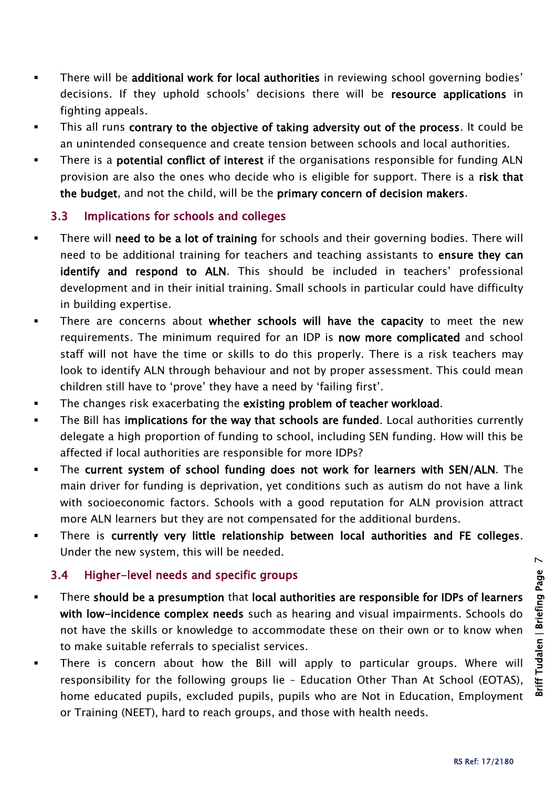- There will be additional work for local authorities in reviewing school governing bodies' decisions. If they uphold schools' decisions there will be resource applications in fighting appeals.
- This all runs contrary to the objective of taking adversity out of the process. It could be an unintended consequence and create tension between schools and local authorities.
- There is a potential conflict of interest if the organisations responsible for funding ALN provision are also the ones who decide who is eligible for support. There is a risk that the budget, and not the child, will be the primary concern of decision makers.

#### 3.3 Implications for schools and colleges

- There will need to be a lot of training for schools and their governing bodies. There will need to be additional training for teachers and teaching assistants to ensure they can identify and respond to ALN. This should be included in teachers' professional development and in their initial training. Small schools in particular could have difficulty in building expertise.
- There are concerns about whether schools will have the capacity to meet the new requirements. The minimum required for an IDP is now more complicated and school staff will not have the time or skills to do this properly. There is a risk teachers may look to identify ALN through behaviour and not by proper assessment. This could mean children still have to 'prove' they have a need by 'failing first'.
- The changes risk exacerbating the existing problem of teacher workload.
- The Bill has implications for the way that schools are funded. Local authorities currently delegate a high proportion of funding to school, including SEN funding. How will this be affected if local authorities are responsible for more IDPs?
- The current system of school funding does not work for learners with SEN/ALN. The main driver for funding is deprivation, yet conditions such as autism do not have a link with socioeconomic factors. Schools with a good reputation for ALN provision attract more ALN learners but they are not compensated for the additional burdens.
- There is currently very little relationship between local authorities and FE colleges. Under the new system, this will be needed.

#### 3.4 Higher-level needs and specific groups

- There should be a presumption that local authorities are responsible for IDPs of learners with low-incidence complex needs such as hearing and visual impairments. Schools do not have the skills or knowledge to accommodate these on their own or to know when to make suitable referrals to specialist services.
- There is concern about how the Bill will apply to particular groups. Where will responsibility for the following groups lie – Education Other Than At School (EOTAS), home educated pupils, excluded pupils, pupils who are Not in Education, Employment or Training (NEET), hard to reach groups, and those with health needs.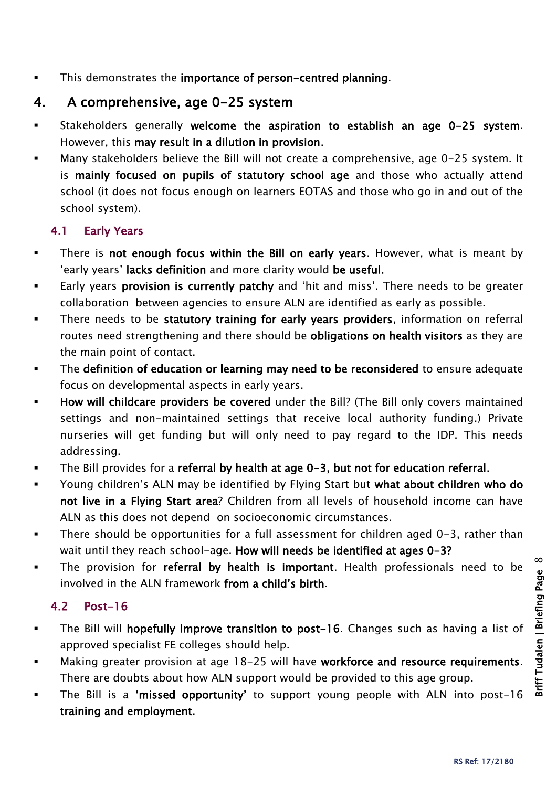This demonstrates the importance of person-centred planning.

## 4. A comprehensive, age 0-25 system

- Stakeholders generally welcome the aspiration to establish an age 0-25 system. However, this may result in a dilution in provision.
- Many stakeholders believe the Bill will not create a comprehensive, age 0-25 system. It is mainly focused on pupils of statutory school age and those who actually attend school (it does not focus enough on learners EOTAS and those who go in and out of the school system).

#### 4.1 Early Years

- There is not enough focus within the Bill on early years. However, what is meant by 'early years' lacks definition and more clarity would be useful.
- Early years provision is currently patchy and 'hit and miss'. There needs to be greater collaboration between agencies to ensure ALN are identified as early as possible.
- There needs to be statutory training for early years providers, information on referral routes need strengthening and there should be obligations on health visitors as they are the main point of contact.
- The definition of education or learning may need to be reconsidered to ensure adequate focus on developmental aspects in early years.
- **How will childcare providers be covered** under the Bill? (The Bill only covers maintained settings and non-maintained settings that receive local authority funding.) Private nurseries will get funding but will only need to pay regard to the IDP. This needs addressing.
- The Bill provides for a referral by health at age 0-3, but not for education referral.
- **The Start Coung children's ALN may be identified by Flying Start but what about children who do** not live in a Flying Start area? Children from all levels of household income can have ALN as this does not depend on socioeconomic circumstances.
- There should be opportunities for a full assessment for children aged 0-3, rather than wait until they reach school-age. How will needs be identified at ages 0-3?
- The provision for referral by health is important. Health professionals need to be involved in the ALN framework from a child's birth.

#### 4.2 Post-16

- The Bill will hopefully improve transition to post-16. Changes such as having a list of approved specialist FE colleges should help.
- Making greater provision at age 18-25 will have workforce and resource requirements. There are doubts about how ALN support would be provided to this age group.
- The Bill is a 'missed opportunity' to support young people with ALN into post-16 training and employment.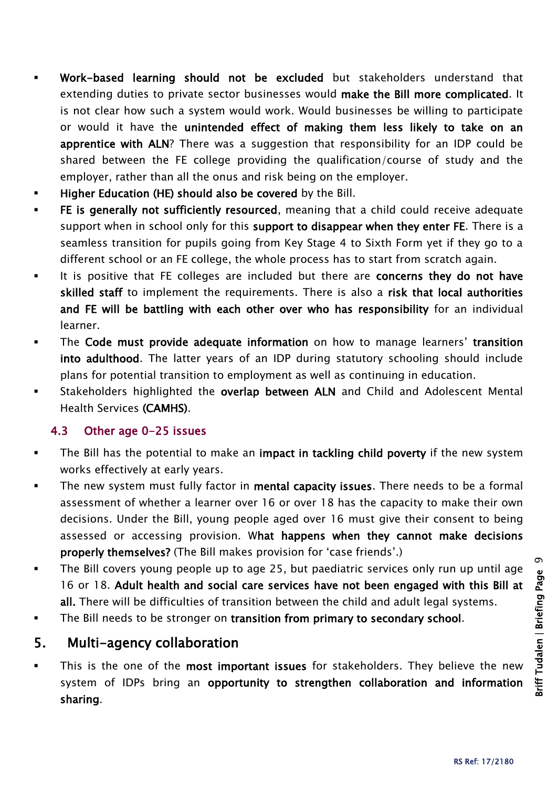- Work-based learning should not be excluded but stakeholders understand that extending duties to private sector businesses would make the Bill more complicated. It is not clear how such a system would work. Would businesses be willing to participate or would it have the unintended effect of making them less likely to take on an apprentice with ALN? There was a suggestion that responsibility for an IDP could be shared between the FE college providing the qualification/course of study and the employer, rather than all the onus and risk being on the employer.
- Higher Education (HE) should also be covered by the Bill.
- FE is generally not sufficiently resourced, meaning that a child could receive adequate support when in school only for this support to disappear when they enter FE. There is a seamless transition for pupils going from Key Stage 4 to Sixth Form yet if they go to a different school or an FE college, the whole process has to start from scratch again.
- It is positive that FE colleges are included but there are concerns they do not have skilled staff to implement the requirements. There is also a risk that local authorities and FE will be battling with each other over who has responsibility for an individual learner.
- The Code must provide adequate information on how to manage learners' transition into adulthood. The latter years of an IDP during statutory schooling should include plans for potential transition to employment as well as continuing in education.
- **EXECT** Stakeholders highlighted the overlap between ALN and Child and Adolescent Mental Health Services (CAMHS).

#### 4.3 Other age 0-25 issues

- The Bill has the potential to make an impact in tackling child poverty if the new system works effectively at early years.
- The new system must fully factor in mental capacity issues. There needs to be a formal assessment of whether a learner over 16 or over 18 has the capacity to make their own decisions. Under the Bill, young people aged over 16 must give their consent to being assessed or accessing provision. What happens when they cannot make decisions properly themselves? (The Bill makes provision for 'case friends'.)
- The Bill covers young people up to age 25, but paediatric services only run up until age 16 or 18. Adult health and social care services have not been engaged with this Bill at all. There will be difficulties of transition between the child and adult legal systems.
- The Bill needs to be stronger on transition from primary to secondary school.

## 5. Multi-agency collaboration

This is the one of the most important issues for stakeholders. They believe the new system of IDPs bring an opportunity to strengthen collaboration and information sharing.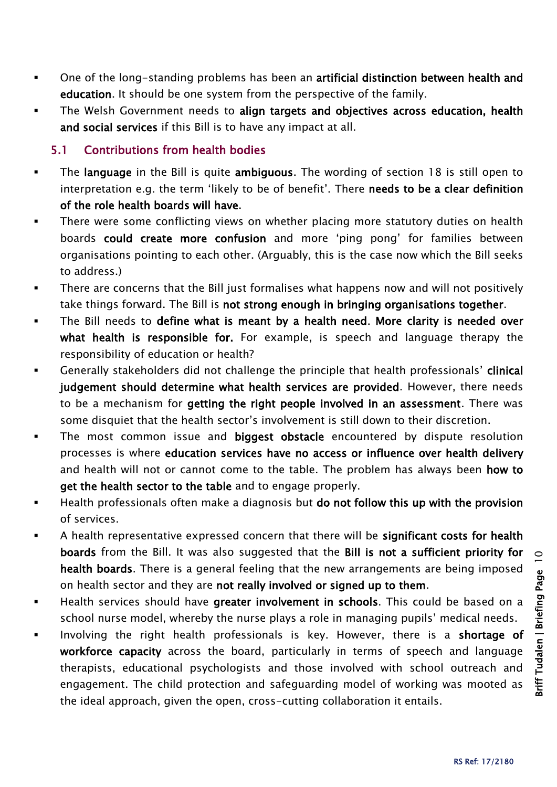- One of the long-standing problems has been an artificial distinction between health and education. It should be one system from the perspective of the family.
- The Welsh Government needs to align targets and objectives across education, health and social services if this Bill is to have any impact at all.

#### 5.1 Contributions from health bodies

- The language in the Bill is quite ambiguous. The wording of section 18 is still open to interpretation e.g. the term 'likely to be of benefit'. There needs to be a clear definition of the role health boards will have.
- There were some conflicting views on whether placing more statutory duties on health boards could create more confusion and more 'ping pong' for families between organisations pointing to each other. (Arguably, this is the case now which the Bill seeks to address.)
- There are concerns that the Bill just formalises what happens now and will not positively take things forward. The Bill is not strong enough in bringing organisations together.
- The Bill needs to define what is meant by a health need. More clarity is needed over what health is responsible for. For example, is speech and language therapy the responsibility of education or health?
- **EXECO** Generally stakeholders did not challenge the principle that health professionals' clinical judgement should determine what health services are provided. However, there needs to be a mechanism for getting the right people involved in an assessment. There was some disquiet that the health sector's involvement is still down to their discretion.
- The most common issue and biggest obstacle encountered by dispute resolution processes is where education services have no access or influence over health delivery and health will not or cannot come to the table. The problem has always been how to get the health sector to the table and to engage properly.
- **Health professionals often make a diagnosis but do not follow this up with the provision** of services.
- A health representative expressed concern that there will be significant costs for health boards from the Bill. It was also suggested that the Bill is not a sufficient priority for health boards. There is a general feeling that the new arrangements are being imposed on health sector and they are not really involved or signed up to them.
- Health services should have greater involvement in schools. This could be based on a school nurse model, whereby the nurse plays a role in managing pupils' medical needs.
- Involving the right health professionals is key. However, there is a shortage of workforce capacity across the board, particularly in terms of speech and language therapists, educational psychologists and those involved with school outreach and engagement. The child protection and safeguarding model of working was mooted as the ideal approach, given the open, cross-cutting collaboration it entails.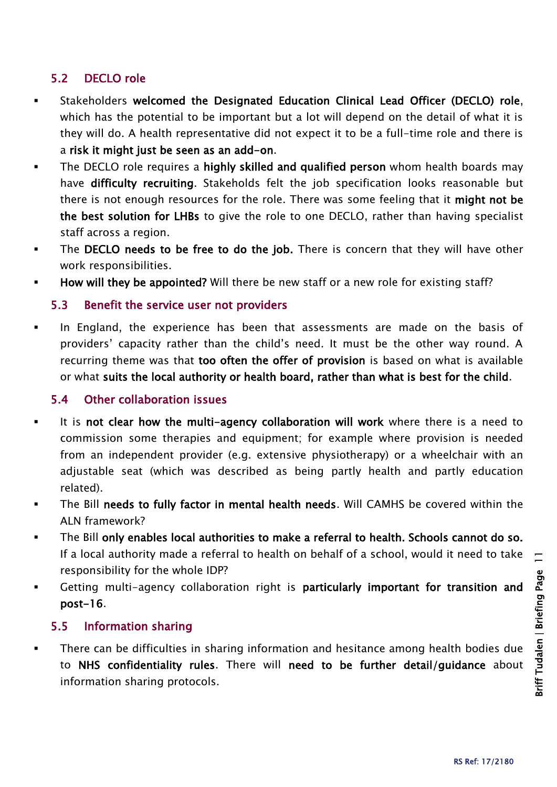#### 5.2 DECLO role

- Stakeholders welcomed the Designated Education Clinical Lead Officer (DECLO) role, which has the potential to be important but a lot will depend on the detail of what it is they will do. A health representative did not expect it to be a full-time role and there is a risk it might just be seen as an add-on.
- **The DECLO role requires a highly skilled and qualified person** whom health boards may have difficulty recruiting. Stakeholds felt the job specification looks reasonable but there is not enough resources for the role. There was some feeling that it might not be the best solution for LHBs to give the role to one DECLO, rather than having specialist staff across a region.
- The DECLO needs to be free to do the job. There is concern that they will have other work responsibilities.
- How will they be appointed? Will there be new staff or a new role for existing staff?

#### 5.3 Benefit the service user not providers

 In England, the experience has been that assessments are made on the basis of providers' capacity rather than the child's need. It must be the other way round. A recurring theme was that too often the offer of provision is based on what is available or what suits the local authority or health board, rather than what is best for the child.

#### 5.4 Other collaboration issues

- It is not clear how the multi-agency collaboration will work where there is a need to commission some therapies and equipment; for example where provision is needed from an independent provider (e.g. extensive physiotherapy) or a wheelchair with an adjustable seat (which was described as being partly health and partly education related).
- The Bill needs to fully factor in mental health needs. Will CAMHS be covered within the ALN framework?
- The Bill only enables local authorities to make a referral to health. Schools cannot do so. If a local authority made a referral to health on behalf of a school, would it need to take responsibility for the whole IDP?
- Getting multi-agency collaboration right is particularly important for transition and post-16.

#### 5.5 Information sharing

 There can be difficulties in sharing information and hesitance among health bodies due to NHS confidentiality rules. There will need to be further detail/guidance about information sharing protocols.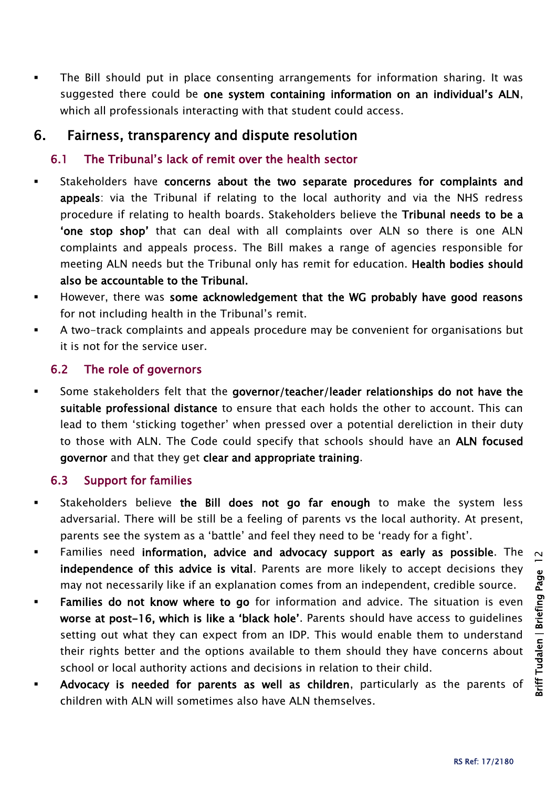The Bill should put in place consenting arrangements for information sharing. It was suggested there could be one system containing information on an individual's ALN, which all professionals interacting with that student could access.

## 6. Fairness, transparency and dispute resolution

#### 6.1 The Tribunal's lack of remit over the health sector

- Stakeholders have concerns about the two separate procedures for complaints and appeals: via the Tribunal if relating to the local authority and via the NHS redress procedure if relating to health boards. Stakeholders believe the Tribunal needs to be a 'one stop shop' that can deal with all complaints over ALN so there is one ALN complaints and appeals process. The Bill makes a range of agencies responsible for meeting ALN needs but the Tribunal only has remit for education. Health bodies should also be accountable to the Tribunal.
- **However, there was some acknowledgement that the WG probably have good reasons** for not including health in the Tribunal's remit.
- A two-track complaints and appeals procedure may be convenient for organisations but it is not for the service user.

#### 6.2 The role of governors

 Some stakeholders felt that the governor/teacher/leader relationships do not have the suitable professional distance to ensure that each holds the other to account. This can lead to them 'sticking together' when pressed over a potential dereliction in their duty to those with ALN. The Code could specify that schools should have an ALN focused governor and that they get clear and appropriate training.

#### 6.3 Support for families

- **Stakeholders believe the Bill does not go far enough to make the system less** adversarial. There will be still be a feeling of parents vs the local authority. At present, parents see the system as a 'battle' and feel they need to be 'ready for a fight'.
- Families need information, advice and advocacy support as early as possible. The independence of this advice is vital. Parents are more likely to accept decisions they may not necessarily like if an explanation comes from an independent, credible source.
- **Families do not know where to go** for information and advice. The situation is even worse at post-16, which is like a 'black hole'. Parents should have access to guidelines setting out what they can expect from an IDP. This would enable them to understand their rights better and the options available to them should they have concerns about school or local authority actions and decisions in relation to their child.
- Advocacy is needed for parents as well as children, particularly as the parents of children with ALN will sometimes also have ALN themselves.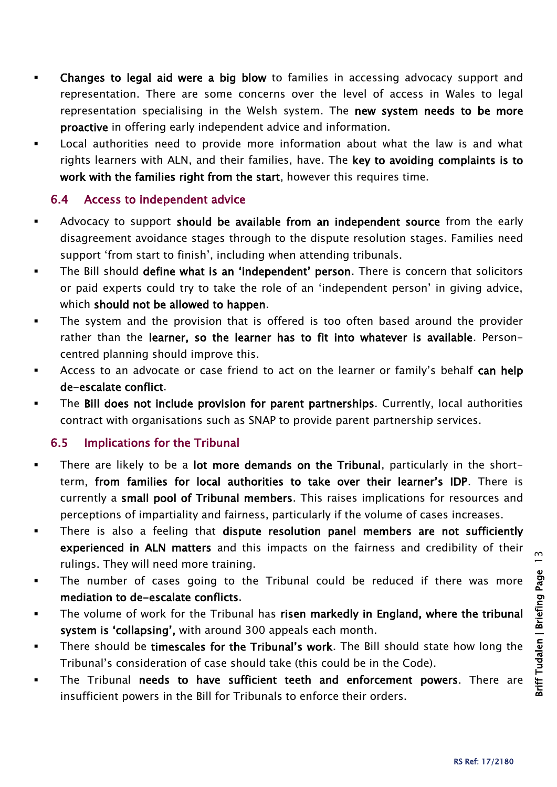- Changes to legal aid were a big blow to families in accessing advocacy support and representation. There are some concerns over the level of access in Wales to legal representation specialising in the Welsh system. The new system needs to be more proactive in offering early independent advice and information.
- Local authorities need to provide more information about what the law is and what rights learners with ALN, and their families, have. The key to avoiding complaints is to work with the families right from the start, however this requires time.

#### 6.4 Access to independent advice

- Advocacy to support should be available from an independent source from the early disagreement avoidance stages through to the dispute resolution stages. Families need support 'from start to finish', including when attending tribunals.
- The Bill should define what is an 'independent' person. There is concern that solicitors or paid experts could try to take the role of an 'independent person' in giving advice, which should not be allowed to happen.
- The system and the provision that is offered is too often based around the provider rather than the learner, so the learner has to fit into whatever is available. Personcentred planning should improve this.
- Access to an advocate or case friend to act on the learner or family's behalf can help de-escalate conflict.
- The Bill does not include provision for parent partnerships. Currently, local authorities contract with organisations such as SNAP to provide parent partnership services.

#### 6.5 Implications for the Tribunal

- There are likely to be a lot more demands on the Tribunal, particularly in the shortterm, from families for local authorities to take over their learner's IDP. There is currently a small pool of Tribunal members. This raises implications for resources and perceptions of impartiality and fairness, particularly if the volume of cases increases.
- There is also a feeling that dispute resolution panel members are not sufficiently experienced in ALN matters and this impacts on the fairness and credibility of their rulings. They will need more training.
- The number of cases going to the Tribunal could be reduced if there was more mediation to de-escalate conflicts.
- The volume of work for the Tribunal has risen markedly in England, where the tribunal system is 'collapsing', with around 300 appeals each month.
- There should be timescales for the Tribunal's work. The Bill should state how long the Tribunal's consideration of case should take (this could be in the Code).
- The Tribunal needs to have sufficient teeth and enforcement powers. There are insufficient powers in the Bill for Tribunals to enforce their orders.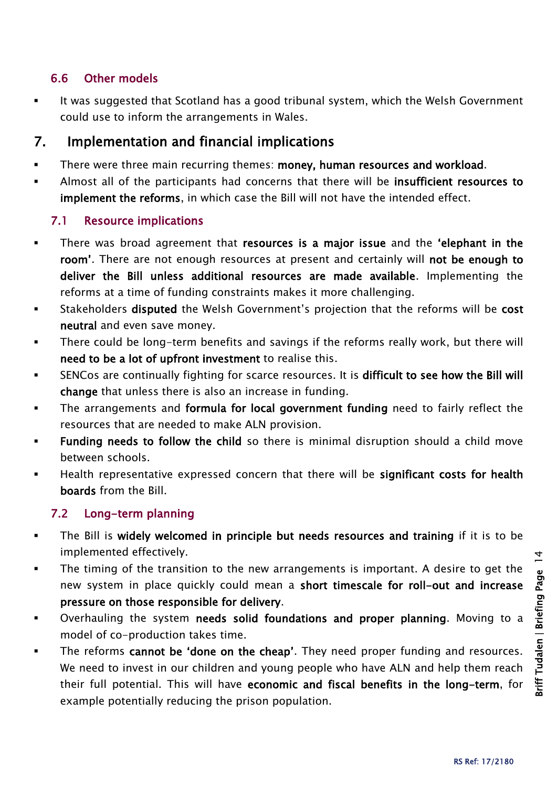#### 6.6 Other models

It was suggested that Scotland has a good tribunal system, which the Welsh Government could use to inform the arrangements in Wales.

## 7. Implementation and financial implications

- There were three main recurring themes: money, human resources and workload.
- Almost all of the participants had concerns that there will be insufficient resources to implement the reforms, in which case the Bill will not have the intended effect.

#### 7.1 Resource implications

- There was broad agreement that resources is a major issue and the 'elephant in the room'. There are not enough resources at present and certainly will not be enough to deliver the Bill unless additional resources are made available. Implementing the reforms at a time of funding constraints makes it more challenging.
- **EXECT** Stakeholders disputed the Welsh Government's projection that the reforms will be cost neutral and even save money.
- There could be long-term benefits and savings if the reforms really work, but there will need to be a lot of upfront investment to realise this.
- SENCos are continually fighting for scarce resources. It is difficult to see how the Bill will change that unless there is also an increase in funding.
- The arrangements and formula for local government funding need to fairly reflect the resources that are needed to make ALN provision.
- Funding needs to follow the child so there is minimal disruption should a child move between schools.
- Health representative expressed concern that there will be significant costs for health boards from the Bill.

#### 7.2 Long-term planning

- The Bill is widely welcomed in principle but needs resources and training if it is to be implemented effectively.
- The timing of the transition to the new arrangements is important. A desire to get the new system in place quickly could mean a short timescale for roll-out and increase pressure on those responsible for delivery.
- **•** Overhauling the system needs solid foundations and proper planning. Moving to a model of co-production takes time.
- The reforms cannot be 'done on the cheap'. They need proper funding and resources. We need to invest in our children and young people who have ALN and help them reach their full potential. This will have economic and fiscal benefits in the long-term, for example potentially reducing the prison population.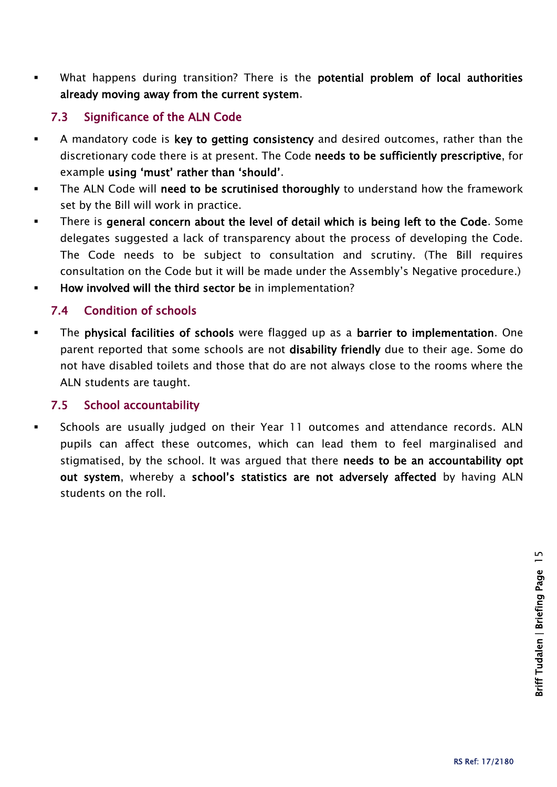What happens during transition? There is the potential problem of local authorities already moving away from the current system.

#### 7.3 Significance of the ALN Code

- A mandatory code is key to getting consistency and desired outcomes, rather than the discretionary code there is at present. The Code needs to be sufficiently prescriptive, for example using 'must' rather than 'should'.
- The ALN Code will need to be scrutinised thoroughly to understand how the framework set by the Bill will work in practice.
- There is general concern about the level of detail which is being left to the Code. Some delegates suggested a lack of transparency about the process of developing the Code. The Code needs to be subject to consultation and scrutiny. (The Bill requires consultation on the Code but it will be made under the Assembly's Negative procedure.)
- **How involved will the third sector be in implementation?**

#### 7.4 Condition of schools

 The physical facilities of schools were flagged up as a barrier to implementation. One parent reported that some schools are not disability friendly due to their age. Some do not have disabled toilets and those that do are not always close to the rooms where the ALN students are taught.

#### 7.5 School accountability

 Schools are usually judged on their Year 11 outcomes and attendance records. ALN pupils can affect these outcomes, which can lead them to feel marginalised and stigmatised, by the school. It was argued that there needs to be an accountability opt out system, whereby a school's statistics are not adversely affected by having ALN students on the roll.